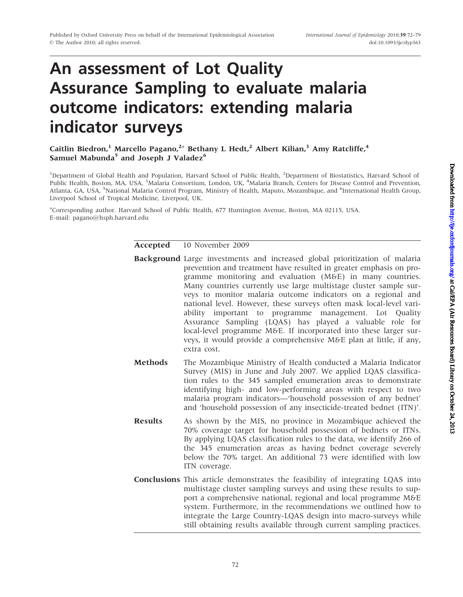# An assessment of Lot Quality Assurance Sampling to evaluate malaria outcome indicators: extending malaria indicator surveys

### Caitlin Biedron,<sup>1</sup> Marcello Pagano,<sup>2\*</sup> Bethany L Hedt,<sup>2</sup> Albert Kilian,<sup>3</sup> Amy Ratcliffe,<sup>4</sup> Samuel Mabunda<sup>5</sup> and Joseph J Valadez<sup>6</sup>

<sup>1</sup>Department of Global Health and Population, Harvard School of Public Health, <sup>2</sup>Department of Biostatistics, Harvard School of Public Health, Boston, MA, USA, <sup>3</sup>Malaria Consortium, London, UK, <sup>4</sup>Malaria Branch, Centers for Disease Control and Prevention, Atlanta, GA, USA, <sup>5</sup>National Malaria Control Program, Ministry of Health, Maputo, Mozambique, and <sup>6</sup>International Health Group, Liverpool School of Tropical Medicine, Liverpool, UK.

- Corresponding author. Harvard School of Public Health, 677 Huntington Avenue, Boston, MA 02115, USA. E-mail: pagano@hsph.harvard.edu

#### Accepted 10 November 2009

- Background Large investments and increased global prioritization of malaria prevention and treatment have resulted in greater emphasis on programme monitoring and evaluation (M&E) in many countries. Many countries currently use large multistage cluster sample surveys to monitor malaria outcome indicators on a regional and national level. However, these surveys often mask local-level variability important to programme management. Lot Quality Assurance Sampling (LQAS) has played a valuable role for local-level programme M&E. If incorporated into these larger surveys, it would provide a comprehensive M&E plan at little, if any, extra cost.
- Methods The Mozambique Ministry of Health conducted a Malaria Indicator Survey (MIS) in June and July 2007. We applied LQAS classification rules to the 345 sampled enumeration areas to demonstrate identifying high- and low-performing areas with respect to two malaria program indicators—'household possession of any bednet' and 'household possession of any insecticide-treated bednet (ITN)'.
- Results As shown by the MIS, no province in Mozambique achieved the 70% coverage target for household possession of bednets or ITNs. By applying LQAS classification rules to the data, we identify 266 of the 345 enumeration areas as having bednet coverage severely below the 70% target. An additional 73 were identified with low ITN coverage.
- Conclusions This article demonstrates the feasibility of integrating LQAS into multistage cluster sampling surveys and using these results to support a comprehensive national, regional and local programme M&E system. Furthermore, in the recommendations we outlined how to integrate the Large Country-LQAS design into macro-surveys while still obtaining results available through current sampling practices.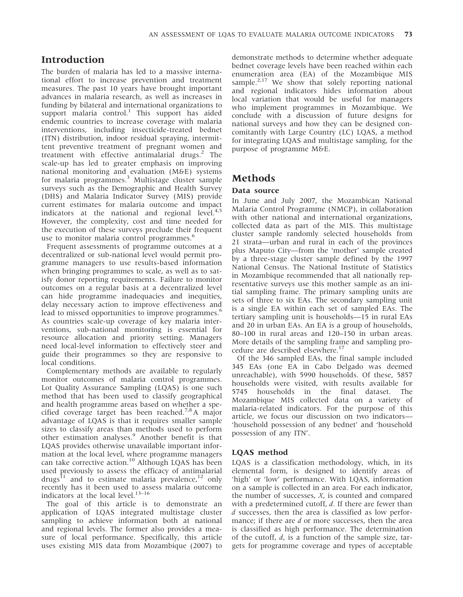## **Introduction**

The burden of malaria has led to a massive international effort to increase prevention and treatment measures. The past 10 years have brought important advances in malaria research, as well as increases in funding by bilateral and international organizations to support malaria control.<sup>1</sup> This support has aided endemic countries to increase coverage with malaria interventions, including insecticide-treated bednet (ITN) distribution, indoor residual spraying, intermittent preventive treatment of pregnant women and treatment with effective antimalarial drugs.<sup>2</sup> The scale-up has led to greater emphasis on improving national monitoring and evaluation (M&E) systems for malaria programmes.<sup>3</sup> Multistage cluster sample surveys such as the Demographic and Health Survey (DHS) and Malaria Indicator Survey (MIS) provide current estimates for malaria outcome and impact indicators at the national and regional level. $4.5$ However, the complexity, cost and time needed for the execution of these surveys preclude their frequent use to monitor malaria control programmes.<sup>6</sup>

Frequent assessments of programme outcomes at a decentralized or sub-national level would permit programme managers to use results-based information when bringing programmes to scale, as well as to satisfy donor reporting requirements. Failure to monitor outcomes on a regular basis at a decentralized level can hide programme inadequacies and inequities, delay necessary action to improve effectiveness and lead to missed opportunities to improve programmes.<sup>6</sup> As countries scale-up coverage of key malaria interventions, sub-national monitoring is essential for resource allocation and priority setting. Managers need local-level information to effectively steer and guide their programmes so they are responsive to local conditions.

Complementary methods are available to regularly monitor outcomes of malaria control programmes. Lot Quality Assurance Sampling (LQAS) is one such method that has been used to classify geographical and health programme areas based on whether a specified coverage target has been reached.7,8A major advantage of LQAS is that it requires smaller sample sizes to classify areas than methods used to perform other estimation analyses.<sup>9</sup> Another benefit is that LQAS provides otherwise unavailable important information at the local level, where programme managers can take corrective action.<sup>10</sup> Although LQAS has been used previously to assess the efficacy of antimalarial drugs<sup>11</sup> and to estimate malaria prevalence,<sup>12</sup> only recently has it been used to assess malaria outcome indicators at the local level. $13-16$ 

The goal of this article is to demonstrate an application of LQAS integrated multistage cluster sampling to achieve information both at national and regional levels. The former also provides a measure of local performance. Specifically, this article uses existing MIS data from Mozambique (2007) to

demonstrate methods to determine whether adequate bednet coverage levels have been reached within each enumeration area (EA) of the Mozambique MIS sample. $2,17$  We show that solely reporting national and regional indicators hides information about local variation that would be useful for managers who implement programmes in Mozambique. We conclude with a discussion of future designs for national surveys and how they can be designed concomitantly with Large Country (LC) LQAS, a method for integrating LQAS and multistage sampling, for the purpose of programme M&E.

## Methods

#### Data source

In June and July 2007, the Mozambican National Malaria Control Programme (NMCP), in collaboration with other national and international organizations, collected data as part of the MIS. This multistage cluster sample randomly selected households from 21 strata—urban and rural in each of the provinces plus Maputo City—from the 'mother' sample created by a three-stage cluster sample defined by the 1997 National Census. The National Institute of Statistics in Mozambique recommended that all nationally representative surveys use this mother sample as an initial sampling frame. The primary sampling units are sets of three to six EAs. The secondary sampling unit is a single EA within each set of sampled EAs. The tertiary sampling unit is households—15 in rural EAs and 20 in urban EAs. An EA is a group of households, 80–100 in rural areas and 120–150 in urban areas. More details of the sampling frame and sampling procedure are described elsewhere.<sup>17</sup>

Of the 346 sampled EAs, the final sample included 345 EAs (one EA in Cabo Delgado was deemed unreachable), with 5990 households. Of these, 5857 households were visited, with results available for 5745 households in the final dataset. The Mozambique MIS collected data on a variety of malaria-related indicators. For the purpose of this article, we focus our discussion on two indicators— 'household possession of any bednet' and 'household possession of any ITN'.

#### LQAS method

LQAS is a classification methodology, which, in its elemental form, is designed to identify areas of 'high' or 'low' performance. With LQAS, information on a sample is collected in an area. For each indicator, the number of successes,  $X$ , is counted and compared with a predetermined cutoff, d. If there are fewer than d successes, then the area is classified as low performance; if there are d or more successes, then the area is classified as high performance. The determination of the cutoff,  $d$ , is a function of the sample size, targets for programme coverage and types of acceptable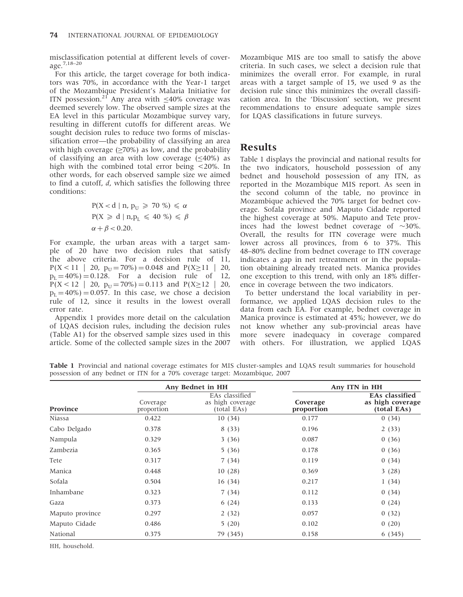misclassification potential at different levels of coverage.7,18–20

For this article, the target coverage for both indicators was 70%, in accordance with the Year-1 target of the Mozambique President's Malaria Initiative for ITN possession.<sup>21</sup> Any area with  $\leq 40\%$  coverage was deemed severely low. The observed sample sizes at the EA level in this particular Mozambique survey vary, resulting in different cutoffs for different areas. We sought decision rules to reduce two forms of misclassification error—the probability of classifying an area with high coverage  $(270%)$  as low, and the probability of classifying an area with low coverage  $( $40\%$ )$  as high with the combined total error being <20%. In other words, for each observed sample size we aimed to find a cutoff, d, which satisfies the following three conditions:

$$
P(X < d \mid n, p_U \ge 70 \%) \le \alpha
$$
\n
$$
P(X \ge d \mid n, p_L \le 40 \%) \le \beta
$$
\n
$$
\alpha + \beta < 0.20.
$$

For example, the urban areas with a target sample of 20 have two decision rules that satisfy the above criteria. For a decision rule of 11,  $P(X < 11 \mid 20, p_U = 70\%) = 0.048$  and  $P(X \ge 11 \mid 20,$  $p_L = 40\% = 0.128$ . For a decision rule of 12,  $P(X < 12 \mid 20, p_U = 70\%) = 0.113$  and  $P(X \ge 12 \mid 20,$  $p_1 = 40\% = 0.057$ . In this case, we chose a decision rule of 12, since it results in the lowest overall error rate.

Appendix 1 provides more detail on the calculation of LQAS decision rules, including the decision rules (Table A1) for the observed sample sizes used in this article. Some of the collected sample sizes in the 2007

Mozambique MIS are too small to satisfy the above criteria. In such cases, we select a decision rule that minimizes the overall error. For example, in rural areas with a target sample of 15, we used 9 as the decision rule since this minimizes the overall classification area. In the 'Discussion' section, we present recommendations to ensure adequate sample sizes for LQAS classifications in future surveys.

#### Results

Table 1 displays the provincial and national results for the two indicators, household possession of any bednet and household possession of any ITN, as reported in the Mozambique MIS report. As seen in the second column of the table, no province in Mozambique achieved the 70% target for bednet coverage. Sofala province and Maputo Cidade reported the highest coverage at 50%. Maputo and Tete provinces had the lowest bednet coverage of  $\sim$ 30%. Overall, the results for ITN coverage were much lower across all provinces, from 6 to 37%. This 48–80% decline from bednet coverage to ITN coverage indicates a gap in net retreatment or in the population obtaining already treated nets. Manica provides one exception to this trend, with only an 18% difference in coverage between the two indicators.

To better understand the local variability in performance, we applied LQAS decision rules to the data from each EA. For example, bednet coverage in Manica province is estimated at 45%; however, we do not know whether any sub-provincial areas have more severe inadequacy in coverage compared with others. For illustration, we applied LQAS

Table 1 Provincial and national coverage estimates for MIS cluster-samples and LQAS result summaries for household possession of any bednet or ITN for a 70% coverage target: Mozambique, 2007

|                 |                        | Any Bednet in HH                                  | Any ITN in HH          |                                                          |  |
|-----------------|------------------------|---------------------------------------------------|------------------------|----------------------------------------------------------|--|
| Province        | Coverage<br>proportion | EAs classified<br>as high coverage<br>(total EAs) | Coverage<br>proportion | <b>EAs classified</b><br>as high coverage<br>(total EAs) |  |
| Niassa          | 0.422                  | 10(34)                                            | 0.177                  | 0(34)                                                    |  |
| Cabo Delgado    | 0.378                  | 8(33)                                             | 0.196                  | 2(33)                                                    |  |
| Nampula         | 0.329                  | 3(36)                                             | 0.087                  | 0(36)                                                    |  |
| Zambezia        | 0.365                  | 5(36)                                             | 0.178                  | 0(36)                                                    |  |
| Tete            | 0.317                  | 7(34)                                             | 0.119                  | 0(34)                                                    |  |
| Manica          | 0.448                  | 10(28)                                            | 0.369                  | 3(28)                                                    |  |
| Sofala          | 0.504                  | 16(34)                                            | 0.217                  | 1(34)                                                    |  |
| Inhambane       | 0.323                  | 7(34)                                             | 0.112                  | 0(34)                                                    |  |
| Gaza            | 0.373                  | 6(24)                                             | 0.133                  | 0(24)                                                    |  |
| Maputo province | 0.297                  | 2(32)                                             | 0.057                  | 0(32)                                                    |  |
| Maputo Cidade   | 0.486                  | 5(20)                                             | 0.102                  | 0(20)                                                    |  |
| National        | 0.375                  | 79 (345)                                          | 0.158                  | 6(345)                                                   |  |

HH, household.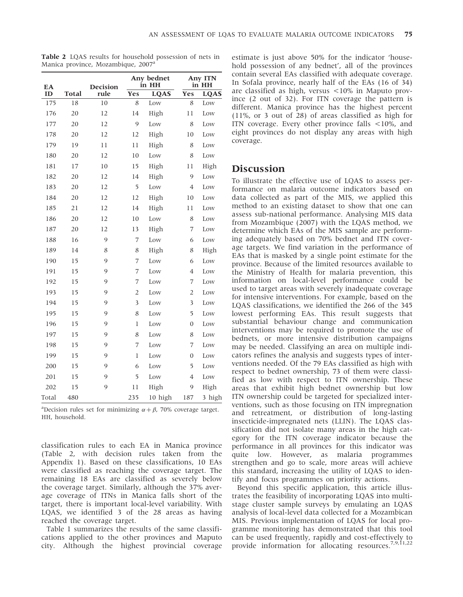| EA    |              | <b>Decision</b> |                         | Any bednet<br>in HH |                  | Any ITN<br>in HH |  |  |
|-------|--------------|-----------------|-------------------------|---------------------|------------------|------------------|--|--|
| ID    | <b>Total</b> | rule            | Yes                     | <b>LQAS</b>         | Yes              | <b>LQAS</b>      |  |  |
| 175   | 18           | 10              | 8                       | Low                 | 8                | Low              |  |  |
| 176   | 20           | 12              | 14                      | High                | 11               | Low              |  |  |
| 177   | 20           | 12              | 9                       | Low                 | 8                | Low              |  |  |
| 178   | 20           | 12              | 12                      | High                | 10               | Low              |  |  |
| 179   | 19           | 11              | 11                      | High                | 8                | Low              |  |  |
| 180   | 20           | 12              | 10                      | Low                 | 8                | Low              |  |  |
| 181   | 17           | 10              | 15                      | High                | 11               | High             |  |  |
| 182   | 20           | 12              | 14                      | High                | 9                | Low              |  |  |
| 183   | 20           | 12              | 5                       | Low                 | $\overline{4}$   | Low              |  |  |
| 184   | 20           | 12              | 12                      | High                | 10               | Low              |  |  |
| 185   | 21           | 12              | 14                      | High                | 11               | Low              |  |  |
| 186   | 20           | 12              | 10                      | Low                 | 8                | Low              |  |  |
| 187   | 20           | 12              | 13                      | High                | 7                | Low              |  |  |
| 188   | 16           | 9               | 7                       | Low                 | 6                | Low              |  |  |
| 189   | 14           | 8               | 8                       | High                | 8                | High             |  |  |
| 190   | 15           | 9               | 7                       | Low                 | 6                | Low              |  |  |
| 191   | 15           | 9               | 7                       | Low                 | $\overline{4}$   | Low              |  |  |
| 192   | 15           | 9               | 7                       | Low                 | 7                | Low              |  |  |
| 193   | 15           | 9               | $\overline{2}$          | Low                 | $\overline{2}$   | Low              |  |  |
| 194   | 15           | 9               | $\overline{\mathbf{3}}$ | Low                 | 3                | Low              |  |  |
| 195   | 15           | 9               | 8                       | Low                 | 5                | Low              |  |  |
| 196   | 15           | 9               | $\mathbf{l}$            | Low                 | $\boldsymbol{0}$ | Low              |  |  |
| 197   | 15           | 9               | 8                       | Low                 | 8                | Low              |  |  |
| 198   | 15           | 9               | 7                       | Low                 | 7                | Low              |  |  |
| 199   | 15           | 9               | $\mathbf{l}$            | Low                 | $\boldsymbol{0}$ | Low              |  |  |
| 200   | 15           | 9               | 6                       | Low                 | 5                | Low              |  |  |
| 201   | 15           | 9               | 5                       | Low                 | 4                | Low              |  |  |
| 202   | 15           | 9               | 11                      | High                | 9                | High             |  |  |
| Total | 480          |                 | 235                     | 10 high             | 187              | 3 high           |  |  |

Table 2 LQAS results for household possession of nets in Manica province, Mozambique, 2007<sup>a</sup>

<sup>a</sup>Decision rules set for minimizing  $\alpha + \beta$ , 70% coverage target. HH, household.

classification rules to each EA in Manica province (Table 2, with decision rules taken from the Appendix 1). Based on these classifications, 10 EAs were classified as reaching the coverage target. The remaining 18 EAs are classified as severely below the coverage target. Similarly, although the 37% average coverage of ITNs in Manica falls short of the target, there is important local-level variability. With LQAS, we identified 3 of the 28 areas as having reached the coverage target.

Table 1 summarizes the results of the same classifications applied to the other provinces and Maputo city. Although the highest provincial coverage

estimate is just above 50% for the indicator 'household possession of any bednet', all of the provinces contain several EAs classified with adequate coverage. In Sofala province, nearly half of the EAs (16 of 34) are classified as high, versus <10% in Maputo province (2 out of 32). For ITN coverage the pattern is different. Manica province has the highest percent (11%, or 3 out of 28) of areas classified as high for ITN coverage. Every other province falls <10%, and eight provinces do not display any areas with high coverage.

#### Discussion

To illustrate the effective use of LQAS to assess performance on malaria outcome indicators based on data collected as part of the MIS, we applied this method to an existing dataset to show that one can assess sub-national performance. Analysing MIS data from Mozambique (2007) with the LQAS method, we determine which EAs of the MIS sample are performing adequately based on 70% bednet and ITN coverage targets. We find variation in the performance of EAs that is masked by a single point estimate for the province. Because of the limited resources available to the Ministry of Health for malaria prevention, this information on local-level performance could be used to target areas with severely inadequate coverage for intensive interventions. For example, based on the LQAS classifications, we identified the 266 of the 345 lowest performing EAs. This result suggests that substantial behaviour change and communication interventions may be required to promote the use of bednets, or more intensive distribution campaigns may be needed. Classifying an area on multiple indicators refines the analysis and suggests types of interventions needed. Of the 79 EAs classified as high with respect to bednet ownership, 73 of them were classified as low with respect to ITN ownership. These areas that exhibit high bednet ownership but low ITN ownership could be targeted for specialized interventions, such as those focusing on ITN impregnation and retreatment, or distribution of long-lasting insecticide-impregnated nets (LLIN). The LQAS classification did not isolate many areas in the high category for the ITN coverage indicator because the performance in all provinces for this indicator was quite low. However, as malaria programmes strengthen and go to scale, more areas will achieve this standard, increasing the utility of LQAS to identify and focus programmes on priority actions.

Beyond this specific application, this article illustrates the feasibility of incorporating LQAS into multistage cluster sample surveys by emulating an LQAS analysis of local-level data collected for a Mozambican MIS. Previous implementation of LQAS for local programme monitoring has demonstrated that this tool can be used frequently, rapidly and cost-effectively to provide information for allocating resources.7,9,11,22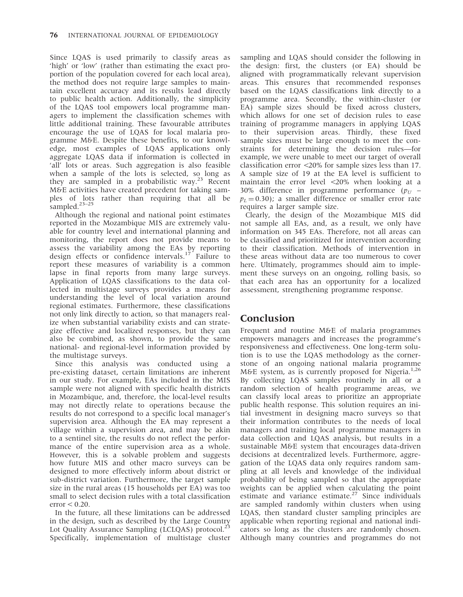Since LQAS is used primarily to classify areas as 'high' or 'low' (rather than estimating the exact proportion of the population covered for each local area), the method does not require large samples to maintain excellent accuracy and its results lead directly to public health action. Additionally, the simplicity of the LQAS tool empowers local programme managers to implement the classification schemes with little additional training. These favourable attributes encourage the use of LQAS for local malaria programme M&E. Despite these benefits, to our knowledge, most examples of LQAS applications only aggregate LQAS data if information is collected in 'all' lots or areas. Such aggregation is also feasible when a sample of the lots is selected, so long as they are sampled in a probabilistic way.<sup>23</sup> Recent M&E activities have created precedent for taking samples of lots rather than requiring that all be sampled.<sup>23-25</sup>

Although the regional and national point estimates reported in the Mozambique MIS are extremely valuable for country level and international planning and monitoring, the report does not provide means to assess the variability among the EAs by reporting design effects or confidence intervals.<sup>17</sup> Failure to report these measures of variability is a common lapse in final reports from many large surveys. Application of LQAS classifications to the data collected in multistage surveys provides a means for understanding the level of local variation around regional estimates. Furthermore, these classifications not only link directly to action, so that managers realize when substantial variability exists and can strategize effective and localized responses, but they can also be combined, as shown, to provide the same national- and regional-level information provided by the multistage surveys.

Since this analysis was conducted using a pre-existing dataset, certain limitations are inherent in our study. For example, EAs included in the MIS sample were not aligned with specific health districts in Mozambique, and, therefore, the local-level results may not directly relate to operations because the results do not correspond to a specific local manager's supervision area. Although the EA may represent a village within a supervision area, and may be akin to a sentinel site, the results do not reflect the performance of the entire supervision area as a whole. However, this is a solvable problem and suggests how future MIS and other macro surveys can be designed to more effectively inform about district or sub-district variation. Furthermore, the target sample size in the rural areas (15 households per EA) was too small to select decision rules with a total classification  $error < 0.20$ 

In the future, all these limitations can be addressed in the design, such as described by the Large Country Lot Quality Assurance Sampling (LCLQAS) protocol.<sup>23</sup> Specifically, implementation of multistage cluster

sampling and LQAS should consider the following in the design: first, the clusters (or EA) should be aligned with programmatically relevant supervision areas. This ensures that recommended responses based on the LQAS classifications link directly to a programme area. Secondly, the within-cluster (or EA) sample sizes should be fixed across clusters, which allows for one set of decision rules to ease training of programme managers in applying LQAS to their supervision areas. Thirdly, these fixed sample sizes must be large enough to meet the constraints for determining the decision rules—for example, we were unable to meet our target of overall classification error <20% for sample sizes less than 17. A sample size of 19 at the EA level is sufficient to maintain the error level <20% when looking at a 30% difference in programme performance  $(p_U$  $p_l = 0.30$ ; a smaller difference or smaller error rate requires a larger sample size.

Clearly, the design of the Mozambique MIS did not sample all EAs, and, as a result, we only have information on 345 EAs. Therefore, not all areas can be classified and prioritized for intervention according to their classification. Methods of intervention in these areas without data are too numerous to cover here. Ultimately, programmes should aim to implement these surveys on an ongoing, rolling basis, so that each area has an opportunity for a localized assessment, strengthening programme response.

# Conclusion

Frequent and routine M&E of malaria programmes empowers managers and increases the programme's responsiveness and effectiveness. One long-term solution is to use the LQAS methodology as the cornerstone of an ongoing national malaria programme M&E system, as is currently proposed for Nigeria.<sup>1,26</sup> By collecting LQAS samples routinely in all or a random selection of health programme areas, we can classify local areas to prioritize an appropriate public health response. This solution requires an initial investment in designing macro surveys so that their information contributes to the needs of local managers and training local programme managers in data collection and LQAS analysis, but results in a sustainable M&E system that encourages data-driven decisions at decentralized levels. Furthermore, aggregation of the LQAS data only requires random sampling at all levels and knowledge of the individual probability of being sampled so that the appropriate weights can be applied when calculating the point estimate and variance estimate.<sup>27</sup> Since individuals are sampled randomly within clusters when using LQAS, then standard cluster sampling principles are applicable when reporting regional and national indicators so long as the clusters are randomly chosen. Although many countries and programmes do not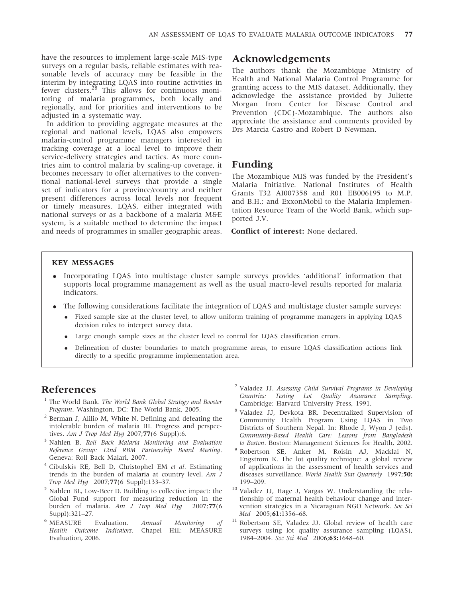have the resources to implement large-scale MIS-type surveys on a regular basis, reliable estimates with reasonable levels of accuracy may be feasible in the interim by integrating LQAS into routine activities in fewer clusters.<sup>28</sup> This allows for continuous monitoring of malaria programmes, both locally and regionally, and for priorities and interventions to be adjusted in a systematic way.

In addition to providing aggregate measures at the regional and national levels, LQAS also empowers malaria-control programme managers interested in tracking coverage at a local level to improve their service-delivery strategies and tactics. As more countries aim to control malaria by scaling-up coverage, it becomes necessary to offer alternatives to the conventional national-level surveys that provide a single set of indicators for a province/country and neither present differences across local levels nor frequent or timely measures. LQAS, either integrated with national surveys or as a backbone of a malaria M&E system, is a suitable method to determine the impact and needs of programmes in smaller geographic areas.

#### Acknowledgements

The authors thank the Mozambique Ministry of Health and National Malaria Control Programme for granting access to the MIS dataset. Additionally, they acknowledge the assistance provided by Juliette Morgan from Center for Disease Control and Prevention (CDC)-Mozambique. The authors also appreciate the assistance and comments provided by Drs Marcia Castro and Robert D Newman.

## Funding

The Mozambique MIS was funded by the President's Malaria Initiative. National Institutes of Health Grants T32 AI007358 and R01 EB006195 to M.P. and B.H.; and ExxonMobil to the Malaria Implementation Resource Team of the World Bank, which supported J.V.

Conflict of interest: None declared.

#### KEY MESSAGES

- Incorporating LQAS into multistage cluster sample surveys provides 'additional' information that supports local programme management as well as the usual macro-level results reported for malaria indicators.
- The following considerations facilitate the integration of LQAS and multistage cluster sample surveys:
	- Fixed sample size at the cluster level, to allow uniform training of programme managers in applying LQAS decision rules to interpret survey data.
	- Large enough sample sizes at the cluster level to control for LQAS classification errors.
	- Delineation of cluster boundaries to match programme areas, to ensure LQAS classification actions link directly to a specific programme implementation area.

### References

- $<sup>1</sup>$  The World Bank. The World Bank Global Strategy and Booster</sup> Program. Washington, DC: The World Bank, 2005.
- <sup>2</sup> Berman J, Alilio M, White N. Defining and defeating the intolerable burden of malaria III. Progress and perspectives. Am J Trop Med Hyg  $2007;77(6 \text{ Suppl})$ :6.
- <sup>3</sup> Nahlen B. Roll Back Malaria Monitoring and Evaluation Reference Group: 12nd RBM Partnership Board Meeting. Geneva: Roll Back Malari, 2007.
- <sup>4</sup> Cibulskis RE, Bell D, Christophel EM et al. Estimating trends in the burden of malaria at country level.  $Am\bar{J}$ Trop Med Hyg 2007;77(6 Suppl):133–37.
- <sup>5</sup> Nahlen BL, Low-Beer D. Building to collective impact: the Global Fund support for measuring reduction in the burden of malaria. Am J Trop Med Hyg 2007;77(6 Suppl):321–27.
- <sup>6</sup> MEASURE Evaluation. Annual Monitoring of<br>Health Outcome Indicators. Chapel Hill: MEASURE Health Outcome Indicators. Evaluation, 2006.
- <sup>7</sup> Valadez JJ. Assessing Child Survival Programs in Developing Countries: Testing Lot Quality Assurance Sampling. Cambridge: Harvard University Press, 1991.
- <sup>8</sup> Valadez JJ, Devkota BR. Decentralized Supervision of Community Health Program Using LQAS in Two Districts of Southern Nepal. In: Rhode J, Wyon J (eds). Community-Based Health Care: Lessons from Bangladesh to Boston. Boston: Management Sciences for Health, 2002.
- <sup>9</sup> Robertson SE, Anker M, Roisin AJ, Macklai N, Engstrom K. The lot quality technique: a global review of applications in the assessment of health services and diseases surveillance. World Health Stat Quarterly 1997;50: 199–209.
- Valadez JJ, Hage J, Vargas W. Understanding the relationship of maternal health behaviour change and intervention strategies in a Nicaraguan NGO Network. Soc Sci Med 2005;61:1356-68.
- <sup>11</sup> Robertson SE, Valadez JJ. Global review of health care surveys using lot quality assurance sampling (LQAS), 1984–2004. Soc Sci Med 2006;63:1648–60.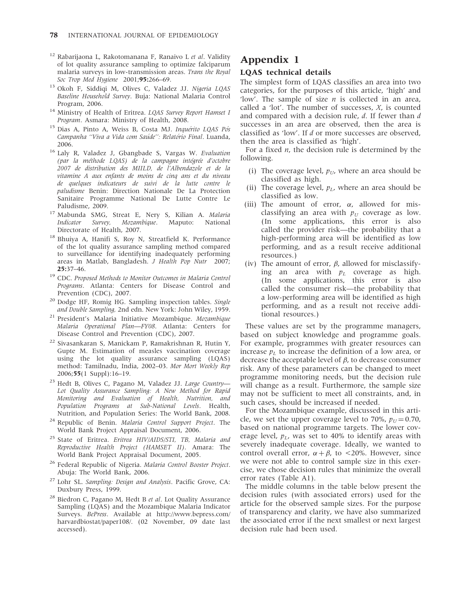- <sup>12</sup> Rabarijaona L, Rakotomanana F, Ranaivo L et al. Validity of lot quality assurance sampling to optimize falciparum malaria surveys in low-transmission areas. Trans the Royal Soc Trop Med Hygiene 2001;95:266-69.
- <sup>13</sup> Okoh F, Siddiqi M, Olives C, Valadez JJ. Nigeria LQAS Baseline Household Survey. Buja: National Malaria Control Program, 2006.
- <sup>14</sup> Ministry of Health of Eritrea. LQAS Survey Report Hamset I Program. Asmara: Ministry of Health, 2008.
- <sup>15</sup> Dias A, Pinto A, Weiss B, Costa MJ. Inquérito LQAS Pós Campanha "Viva a Vida com Saúde": Relatório Final. Luanda, 2006.
- <sup>16</sup> Laly R, Valadez J, Gbangbade S, Vargas W. Evaluation (par la méthode LQAS) de la campagne intégrée d'octobre 2007 de distribution des MIILD, de l'Albendazole et de la vitamine A aux enfants de moins de cinq ans et du niveau de quelques indicateurs de suivi de la lutte contre le paludisme Benin: Direction Nationale De La Protection Sanitaire Programme National De Lutte Contre Le Paludisme, 2009.
- <sup>17</sup> Mabunda SMG, Streat E, Nery S, Kilian A. Malaria Indicator Survey, Mozambique. Maputo: National Directorate of Health, 2007.
- <sup>18</sup> Bhuiya A, Hanifi S, Roy N, Streatfield K. Performance of the lot quality assurance sampling method compared to surveillance for identifying inadequately performing areas in Matlab, Bangladesh. J Health Pop Nutr 2007; 25:37–46.
- <sup>19</sup> CDC. Proposed Methods to Monitor Outcomes in Malaria Control Programs. Atlanta: Centers for Disease Control and Prevention (CDC), 2007.
- <sup>20</sup> Dodge HF, Romig HG. Sampling inspection tables. Single and Double Sampling, 2nd edn. New York: John Wiley, 1959.
- <sup>21</sup> President's Malaria Initiative Mozambique. Mozambique Malaria Operational Plan—FY08. Atlanta: Centers for Disease Control and Prevention (CDC), 2007.
- <sup>22</sup> Sivasankaran S, Manickam P, Ramakrishnan R, Hutin Y, Gupte M. Estimation of measles vaccination coverage using the lot quality assurance sampling (LQAS) method: Tamilnadu, India, 2002–03. Mor Mort Weekly Rep 2006;55(1 Suppl):16–19.
- <sup>23</sup> Hedt B, Olives C, Pagano M, Valadez JJ. Large Country-Lot Quality Assurance Sampling: A New Method for Rapid Monitoring and Evaluation of Health, Nutrition, and Population Programs at Sub-National Levels. Health, Nutrition, and Population Series: The World Bank, 2008.
- <sup>24</sup> Republic of Benin. Malaria Control Support Project. The World Bank Project Appraisal Document, 2006.
- <sup>25</sup> State of Eritrea. Eritrea HIV/AIDS/STI, TB, Malaria and Reproductive Health Project (HAMSET II). Amara: The World Bank Project Appraisal Document, 2005.
- <sup>26</sup> Federal Republic of Nigeria. Malaria Control Booster Project. Abuja: The World Bank, 2006.
- <sup>27</sup> Lohr SL. Sampling: Design and Analysis. Pacific Grove, CA: Duxbury Press, 1999.
- $28$  Biedron C, Pagano M, Hedt B et al. Lot Quality Assurance Sampling (LQAS) and the Mozambique Malaria Indicator Surveys. BePress. Available at<http://www.bepress.com/> harvardbiostat/paper108/. (02 November, 09 date last accessed).

## Appendix 1

#### LQAS technical details

The simplest form of LQAS classifies an area into two categories, for the purposes of this article, 'high' and 'low'. The sample of size  $n$  is collected in an area, called a 'lot'. The number of successes,  $X$ , is counted and compared with a decision rule, d. If fewer than d successes in an area are observed, then the area is classified as 'low'. If d or more successes are observed, then the area is classified as 'high'.

For a fixed  $n$ , the decision rule is determined by the following.

- (i) The coverage level,  $p_{U}$ , where an area should be classified as high.
- (ii) The coverage level,  $p_L$ , where an area should be classified as low.
- (iii) The amount of error,  $\alpha$ , allowed for misclassifying an area with  $p_U$  coverage as low. (In some applications, this error is also called the provider risk—the probability that a high-performing area will be identified as low performing, and as a result receive additional resources.)
- (iv) The amount of error,  $\beta$ , allowed for misclassifying an area with  $p_L$  coverage as high. (In some applications, this error is also called the consumer risk—the probability that a low-performing area will be identified as high performing, and as a result not receive additional resources.)

These values are set by the programme managers, based on subject knowledge and programme goals. For example, programmes with greater resources can increase  $p_L$  to increase the definition of a low area, or decrease the acceptable level of  $\beta$ , to decrease consumer risk. Any of these parameters can be changed to meet programme monitoring needs, but the decision rule will change as a result. Furthermore, the sample size may not be sufficient to meet all constraints, and, in such cases, should be increased if needed.

For the Mozambique example, discussed in this article, we set the upper coverage level to 70%,  $p_U = 0.70$ , based on national programme targets. The lower coverage level,  $p_L$ , was set to 40% to identify areas with severely inadequate coverage. Ideally, we wanted to control overall error,  $\alpha + \beta$ , to <20%. However, since we were not able to control sample size in this exercise, we chose decision rules that minimize the overall error rates (Table A1).

The middle columns in the table below present the decision rules (with associated errors) used for the article for the observed sample sizes. For the purpose of transparency and clarity, we have also summarized the associated error if the next smallest or next largest decision rule had been used.